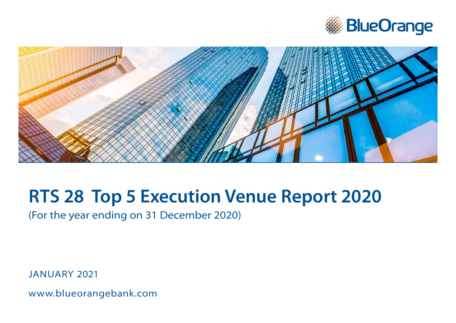



# **RTS 28 Top 5 Execution Venue Report 2020**

(For the year ending on 31 December 2020)

JANUARY 2021

[www.bl](http://www.blueorangebank.com)ueorangebank.com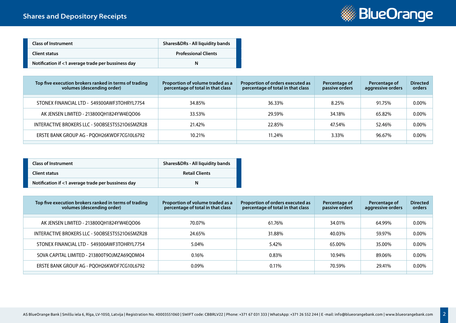

| <b>Class of Instrument</b>                         | Shares&DRs - All liquidity bands |
|----------------------------------------------------|----------------------------------|
| Client status                                      | <b>Professional Clients</b>      |
| Notification if <1 average trade per bussiness day | N                                |

| Top five execution brokers ranked in terms of trading<br>volumes (descending order) | Proportion of volume traded as a<br>percentage of total in that class | Proportion of orders executed as<br>percentage of total in that class | Percentage of<br>passive orders | Percentage of<br>aggressive orders | <b>Directed</b><br>orders |
|-------------------------------------------------------------------------------------|-----------------------------------------------------------------------|-----------------------------------------------------------------------|---------------------------------|------------------------------------|---------------------------|
|                                                                                     |                                                                       |                                                                       |                                 |                                    |                           |
| STONEX FINANCIAL LTD - 549300AWF3TOHRYL7754                                         | 34.85%                                                                | 36.33%                                                                | 8.25%                           | 91.75%                             | $0.00\%$                  |
| AK JENSEN LIMITED - 213800QH1824YW4EQO06                                            | 33.53%                                                                | 29.59%                                                                | 34.18%                          | 65.82%                             | 0.00%                     |
|                                                                                     |                                                                       |                                                                       |                                 |                                    |                           |
| INTERACTIVE BROKERS LLC - 50OBSE5T5521O6SMZR28                                      | 21.42%                                                                | 22.85%                                                                | 47.54%                          | 52.46%                             | $0.00\%$                  |
|                                                                                     |                                                                       |                                                                       |                                 |                                    |                           |
| ERSTE BANK GROUP AG - PQOH26KWDF7CG10L6792                                          | 10.21%                                                                | 11.24%                                                                | 3.33%                           | 96.67%                             | $0.00\%$                  |
|                                                                                     |                                                                       |                                                                       |                                 |                                    |                           |

| <b>Class of Instrument</b>                         | Shares&DRs - All liquidity bands |
|----------------------------------------------------|----------------------------------|
| Client status                                      | <b>Retail Clients</b>            |
| Notification if <1 average trade per bussiness day | N                                |

| Top five execution brokers ranked in terms of trading<br>volumes (descending order) | Proportion of volume traded as a<br>percentage of total in that class | Proportion of orders executed as<br>percentage of total in that class | Percentage of<br>passive orders | Percentage of<br>aggressive orders | <b>Directed</b><br>orders |
|-------------------------------------------------------------------------------------|-----------------------------------------------------------------------|-----------------------------------------------------------------------|---------------------------------|------------------------------------|---------------------------|
|                                                                                     |                                                                       |                                                                       |                                 |                                    |                           |
| AK JENSEN LIMITED - 213800QH1824YW4EQO06                                            | 70.07%                                                                | 61.76%                                                                | 34.01%                          | 64.99%                             | 0.00%                     |
| INTERACTIVE BROKERS LLC - 50OBSE5T5521O6SMZR28                                      | 24.65%                                                                | 31.88%                                                                | 40.03%                          | 59.97%                             | 0.00%                     |
| STONEX FINANCIAL LTD - 549300AWF3TOHRYL7754                                         | 5.04%                                                                 | 5.42%                                                                 | 65.00%                          | 35.00%                             | $0.00\%$                  |
| SOVA CAPITAL LIMITED - 213800T9OJMZA69QDM04                                         | $0.16\%$                                                              | 0.83%                                                                 | 10.94%                          | 89.06%                             | $0.00\%$                  |
| ERSTE BANK GROUP AG - PQOH26KWDF7CG10L6792                                          | $0.09\%$                                                              | $0.11\%$                                                              | 70.59%                          | 29.41%                             | 0.00%                     |
|                                                                                     |                                                                       |                                                                       |                                 |                                    |                           |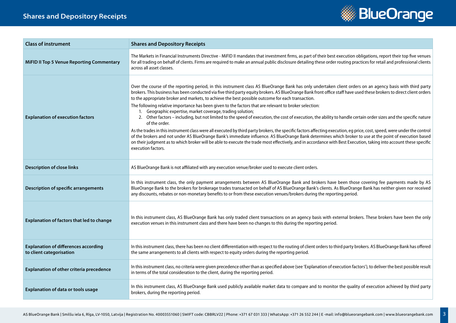## **Shares and Depository Receipts**



| <b>Class of instrument</b>                                              | <b>Shares and Depository Receipts</b>                                                                                                                                                                                                                                                                                                                                                                                                                                                                                                                                                                                                                                                                                                                                                                                                                                                                                                                                                                                                                                                                                                                                                                                                                                                                                                      |
|-------------------------------------------------------------------------|--------------------------------------------------------------------------------------------------------------------------------------------------------------------------------------------------------------------------------------------------------------------------------------------------------------------------------------------------------------------------------------------------------------------------------------------------------------------------------------------------------------------------------------------------------------------------------------------------------------------------------------------------------------------------------------------------------------------------------------------------------------------------------------------------------------------------------------------------------------------------------------------------------------------------------------------------------------------------------------------------------------------------------------------------------------------------------------------------------------------------------------------------------------------------------------------------------------------------------------------------------------------------------------------------------------------------------------------|
| <b>MiFID II Top 5 Venue Reporting Commentary</b>                        | The Markets in Financial Instruments Directive - MiFID II mandates that investment firms, as part of their best execution obligations, report their top five venues<br>for all trading on behalf of clients. Firms are required to make an annual public disclosure detailing these order routing practices for retail and professional clients<br>across all asset classes.                                                                                                                                                                                                                                                                                                                                                                                                                                                                                                                                                                                                                                                                                                                                                                                                                                                                                                                                                               |
| <b>Explanation of execution factors</b>                                 | Over the course of the reporting period, in this instrument class AS BlueOrange Bank has only undertaken client orders on an agency basis with third party<br>brokers. This business has been conducted via five third party equity brokers. AS BlueOrange Bank front office staff have used these brokers to direct client orders<br>to the appropriate broker and markets, to achieve the best possible outcome for each transaction.<br>The following relative importance has been given to the factors that are relevant to broker selection:<br>1. Geographic expertise, market coverage, trading solution;<br>2. Other factors - including, but not limited to the speed of execution, the cost of execution, the ability to handle certain order sizes and the specific nature<br>of the order.<br>As the trades in this instrument class were all executed by third party brokers, the specific factors affecting execution, eg price, cost, speed, were under the control<br>of the brokers and not under AS BlueOrange Bank's immediate influence. AS BlueOrange Bank determines which broker to use at the point of execution based<br>on their judgment as to which broker will be able to execute the trade most effectively, and in accordance with Best Execution, taking into account these specific<br>execution factors. |
| <b>Description of close links</b>                                       | AS BlueOrange Bank is not affiliated with any execution venue/broker used to execute client orders.                                                                                                                                                                                                                                                                                                                                                                                                                                                                                                                                                                                                                                                                                                                                                                                                                                                                                                                                                                                                                                                                                                                                                                                                                                        |
| <b>Description of specific arrangements</b>                             | In this instrument class, the only payment arrangements between AS BlueOrange Bank and brokers have been those covering fee payments made by AS<br>BlueOrange Bank to the brokers for brokerage trades transacted on behalf of AS BlueOrange Bank's clients. As BlueOrange Bank has neither given nor received<br>any discounts, rebates or non-monetary benefits to or from these execution venues/brokers during the reporting period.                                                                                                                                                                                                                                                                                                                                                                                                                                                                                                                                                                                                                                                                                                                                                                                                                                                                                                   |
| Explanation of factors that led to change                               | In this instrument class, AS BlueOrange Bank has only traded client transactions on an agency basis with external brokers. These brokers have been the only<br>execution venues in this instrument class and there have been no changes to this during the reporting period.                                                                                                                                                                                                                                                                                                                                                                                                                                                                                                                                                                                                                                                                                                                                                                                                                                                                                                                                                                                                                                                               |
| <b>Explanation of differences according</b><br>to client categorisation | In this instrument class, there has been no client differentiation with respect to the routing of client orders to third party brokers. AS BlueOrange Bank has offered<br>the same arrangements to all clients with respect to equity orders during the reporting period.                                                                                                                                                                                                                                                                                                                                                                                                                                                                                                                                                                                                                                                                                                                                                                                                                                                                                                                                                                                                                                                                  |
| Explanation of other criteria precedence                                | In this instrument class, no criteria were given precedence other than as specified above (see 'Explanation of execution factors'), to deliver the best possible result<br>in terms of the total consideration to the client, during the reporting period.                                                                                                                                                                                                                                                                                                                                                                                                                                                                                                                                                                                                                                                                                                                                                                                                                                                                                                                                                                                                                                                                                 |
| <b>Explanation of data or tools usage</b>                               | In this instrument class, AS BlueOrange Bank used publicly available market data to compare and to monitor the quality of execution achieved by third party<br>brokers, during the reporting period.                                                                                                                                                                                                                                                                                                                                                                                                                                                                                                                                                                                                                                                                                                                                                                                                                                                                                                                                                                                                                                                                                                                                       |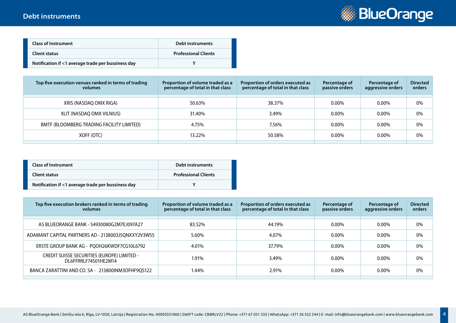

| <b>Class of Instrument</b>                         | Debt instruments            |
|----------------------------------------------------|-----------------------------|
| Client status                                      | <b>Professional Clients</b> |
| Notification if <1 average trade per bussiness day |                             |

| Top five execution venues ranked in terms of trading<br>volumes | Proportion of volume traded as a<br>percentage of total in that class | Proportion of orders executed as<br>percentage of total in that class | Percentage of<br>passive orders | Percentage of<br>aggressive orders | <b>Directed</b><br>orders |
|-----------------------------------------------------------------|-----------------------------------------------------------------------|-----------------------------------------------------------------------|---------------------------------|------------------------------------|---------------------------|
| XRIS (NASDAQ OMX RIGA)                                          | 50.63%                                                                | 38.37%                                                                | $0.00\%$                        | $0.00\%$                           | 0%                        |
|                                                                 |                                                                       |                                                                       |                                 |                                    |                           |
| XLIT (NASDAQ OMX VILNIUS)                                       | 31.40%                                                                | 3.49%                                                                 | $0.00\%$                        | $0.00\%$                           | 0%                        |
| BMTF (BLOOMBERG TRADING FACILITY LIMITED)                       | 4.75%                                                                 | 7.56%                                                                 | $0.00\%$                        | $0.00\%$                           | 0%                        |
| XOFF (OTC)                                                      | 13.22%                                                                | 50.58%                                                                | $0.00\%$                        | $0.00\%$                           | 0%                        |
|                                                                 |                                                                       |                                                                       |                                 |                                    |                           |

| <b>Class of Instrument</b>                         | Debt instruments            |
|----------------------------------------------------|-----------------------------|
| Client status                                      | <b>Professional Clients</b> |
| Notification if <1 average trade per bussiness day |                             |

| Top five execution brokers ranked in terms of trading<br>volumes    | Proportion of volume traded as a<br>percentage of total in that class | Proportion of orders executed as<br>percentage of total in that class | Percentage of<br>passive orders | Percentage of<br>aggressive orders | <b>Directed</b><br>orders |
|---------------------------------------------------------------------|-----------------------------------------------------------------------|-----------------------------------------------------------------------|---------------------------------|------------------------------------|---------------------------|
| AS BLUEORANGE BANK - 54930080G2M7EJ097A27                           | 83.52%                                                                | 44.19%                                                                | $0.00\%$                        | $0.00\%$                           | 0%                        |
| ADAMANT CAPITAL PARTNERS AD - 2138003J5QNXXY2V3W55                  | 5.60%                                                                 | 4.07%                                                                 | $0.00\%$                        | $0.00\%$                           | 0%                        |
| ERSTE GROUP BANK AG - PQOH26KWDF7CG10L6792                          | 4.01%                                                                 | 37.79%                                                                | $0.00\%$                        | $0.00\%$                           | 0%                        |
| CREDIT SUISSE SECURITIES (EUROPE) LIMITED -<br>DL6FFRRLF74S01HE2M14 | 1.91%                                                                 | 3.49%                                                                 | $0.00\%$                        | $0.00\%$                           | 0%                        |
| BANCA ZARATTINI AND CO. SA - 213800INM3OFHF9QS122                   | 1.44%                                                                 | 2.91%                                                                 | $0.00\%$                        | $0.00\%$                           | 0%                        |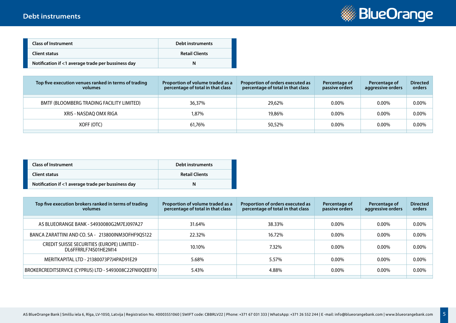

| <b>Class of Instrument</b>                         | Debt instruments      |
|----------------------------------------------------|-----------------------|
| Client status                                      | <b>Retail Clients</b> |
| Notification if <1 average trade per bussiness day | N                     |

| Top five execution venues ranked in terms of trading<br>volumes | Proportion of volume traded as a<br>percentage of total in that class | Proportion of orders executed as<br>percentage of total in that class | Percentage of<br>passive orders | Percentage of<br>aggressive orders | <b>Directed</b><br>orders |
|-----------------------------------------------------------------|-----------------------------------------------------------------------|-----------------------------------------------------------------------|---------------------------------|------------------------------------|---------------------------|
| BMTF (BLOOMBERG TRADING FACILITY LIMITED)                       | 36.37%                                                                | 29.62%                                                                | $0.00\%$                        | $0.00\%$                           | 0.00%                     |
| XRIS - NASDAO OMX RIGA                                          | 1.87%                                                                 | 19,86%                                                                | $0.00\%$                        | $0.00\%$                           | 0.00%                     |
| XOFF (OTC)                                                      | 61.76%                                                                | 50,52%                                                                | $0.00\%$                        | $0.00\%$                           | 0.00%                     |
|                                                                 |                                                                       |                                                                       |                                 |                                    |                           |

| <b>Class of Instrument</b>                         | Debt instruments      |
|----------------------------------------------------|-----------------------|
| Client status                                      | <b>Retail Clients</b> |
| Notification if <1 average trade per bussiness day | N                     |

| Top five execution brokers ranked in terms of trading<br>volumes    | Proportion of volume traded as a<br>percentage of total in that class | Proportion of orders executed as<br>percentage of total in that class | Percentage of<br>passive orders | Percentage of<br>aggressive orders | <b>Directed</b><br>orders |
|---------------------------------------------------------------------|-----------------------------------------------------------------------|-----------------------------------------------------------------------|---------------------------------|------------------------------------|---------------------------|
| AS BLUEORANGE BANK - 54930080G2M7EJ097A27                           | 31.64%                                                                | 38.33%                                                                | 0.00%                           | $0.00\%$                           | $0.00\%$                  |
| BANCA ZARATTINI AND CO. SA - 213800INM3OFHF9QS122                   | 22.32%                                                                | 16.72%                                                                | 0.00%                           | $0.00\%$                           | $0.00\%$                  |
| CREDIT SUISSE SECURITIES (EUROPE) LIMITED -<br>DL6FFRRLF74S01HE2M14 | 10.10%                                                                | 7.32%                                                                 | 0.00%                           | $0.00\%$                           | $0.00\%$                  |
| MERITKAPITAL LTD - 21380073P7J4PAD91E29                             | 5.68%                                                                 | 5.57%                                                                 | 0.00%                           | 0.00%                              | $0.00\%$                  |
| BROKERCREDITSERVICE (CYPRUS) LTD - 5493008C22FNI0QEEF10             | 5.43%                                                                 | 4.88%                                                                 | $0.00\%$                        | $0.00\%$                           | $0.00\%$                  |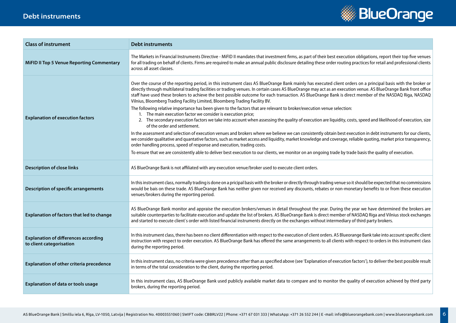#### **Debt instruments**



| <b>Class of instrument</b>                                              | <b>Debt instruments</b>                                                                                                                                                                                                                                                                                                                                                                                                                                                                                                                                                                                                                                                                                                                                                                                                                                                                                                                                                                                                                                                                                                                                                                                                                                                                                                                                                                                                                                                                                                                              |
|-------------------------------------------------------------------------|------------------------------------------------------------------------------------------------------------------------------------------------------------------------------------------------------------------------------------------------------------------------------------------------------------------------------------------------------------------------------------------------------------------------------------------------------------------------------------------------------------------------------------------------------------------------------------------------------------------------------------------------------------------------------------------------------------------------------------------------------------------------------------------------------------------------------------------------------------------------------------------------------------------------------------------------------------------------------------------------------------------------------------------------------------------------------------------------------------------------------------------------------------------------------------------------------------------------------------------------------------------------------------------------------------------------------------------------------------------------------------------------------------------------------------------------------------------------------------------------------------------------------------------------------|
| <b>MiFID II Top 5 Venue Reporting Commentary</b>                        | The Markets in Financial Instruments Directive - MiFID II mandates that investment firms, as part of their best execution obligations, report their top five venues<br>for all trading on behalf of clients. Firms are required to make an annual public disclosure detailing these order routing practices for retail and professional clients<br>across all asset classes.                                                                                                                                                                                                                                                                                                                                                                                                                                                                                                                                                                                                                                                                                                                                                                                                                                                                                                                                                                                                                                                                                                                                                                         |
| <b>Explanation of execution factors</b>                                 | Over the course of the reporting period, in this instrument class AS BlueOrange Bank mainly has executed client orders on a principal basis with the broker or<br>directly through multilateral trading facilities or trading venues. In certain cases AS BlueOrange may act as an execution venue. AS BlueOrange Bank front office<br>staff have used these brokers to achieve the best possible outcome for each transaction. AS BlueOrange Bank is direct member of the NASDAQ Riga, NASDAQ<br>Vilnius, Bloomberg Trading Facility Limited, Bloomberg Trading Facility BV.<br>The following relative importance has been given to the factors that are relevant to broker/execution venue selection:<br>The main execution factor we consider is execution price;<br>2. The secondary execution factors we take into account when assessing the quality of execution are liquidity, costs, speed and likelihood of execution, size<br>of the order and settlement.<br>In the assessment and selection of execution venues and brokers where we believe we can consistently obtain best execution in debt instruments for our clients,<br>we consider qualitative and quantative factors, such as market access and liquidity, market knowledge and coverage, reliable quoting, market price transparency,<br>order handling process, speed of response and execution, trading costs.<br>To ensure that we are consistently able to deliver best execution to our clients, we monitor on an ongoing trade by trade basis the quality of execution. |
|                                                                         |                                                                                                                                                                                                                                                                                                                                                                                                                                                                                                                                                                                                                                                                                                                                                                                                                                                                                                                                                                                                                                                                                                                                                                                                                                                                                                                                                                                                                                                                                                                                                      |
| <b>Description of close links</b>                                       | AS BlueOrange Bank is not affiliated with any execution venue/broker used to execute client orders.                                                                                                                                                                                                                                                                                                                                                                                                                                                                                                                                                                                                                                                                                                                                                                                                                                                                                                                                                                                                                                                                                                                                                                                                                                                                                                                                                                                                                                                  |
| <b>Description of specific arrangements</b>                             | In this instrument class, normally trading is done on a pricipal basis with the broker or directly through trading venue so it should be expected that no commissions<br>would be bais on these trade. AS BlueOrange Bank has neither given nor received any discounts, rebates or non-monetary benefits to or from these execution<br>venues/brokers during the reporting period.                                                                                                                                                                                                                                                                                                                                                                                                                                                                                                                                                                                                                                                                                                                                                                                                                                                                                                                                                                                                                                                                                                                                                                   |
| Explanation of factors that led to change                               | AS BlueOrange Bank monitor and appraise the execution brokers/venues in detail throughout the year. During the year we have determined the brokers are<br>suitable counterparties to facilitate execution and update the list of brokers. AS BlueOrange Bank is direct member of NASDAQ Riga and Vilnius stock exchanges<br>and started to execute client's order with listed financial instruments directly on the exchanges without intermediary of third party brokers.                                                                                                                                                                                                                                                                                                                                                                                                                                                                                                                                                                                                                                                                                                                                                                                                                                                                                                                                                                                                                                                                           |
| <b>Explanation of differences according</b><br>to client categorisation | In this instrument class, there has been no client differentiation with respect to the execution of client orders. AS Blueorange Bank take into account specific client<br>instruction with respect to order execution. AS BlueOrange Bank has offered the same arrangements to all clients with respect to orders in this instrument class<br>during the reporting period.                                                                                                                                                                                                                                                                                                                                                                                                                                                                                                                                                                                                                                                                                                                                                                                                                                                                                                                                                                                                                                                                                                                                                                          |
| Explanation of other criteria precedence                                | In this instrument class, no criteria were given precedence other than as specified above (see 'Explanation of execution factors'), to deliver the best possible result<br>in terms of the total consideration to the client, during the reporting period.                                                                                                                                                                                                                                                                                                                                                                                                                                                                                                                                                                                                                                                                                                                                                                                                                                                                                                                                                                                                                                                                                                                                                                                                                                                                                           |
| Explanation of data or tools usage                                      | In this instrument class, AS BlueOrange Bank used publicly available market data to compare and to monitor the quality of execution achieved by third party<br>brokers, during the reporting period.                                                                                                                                                                                                                                                                                                                                                                                                                                                                                                                                                                                                                                                                                                                                                                                                                                                                                                                                                                                                                                                                                                                                                                                                                                                                                                                                                 |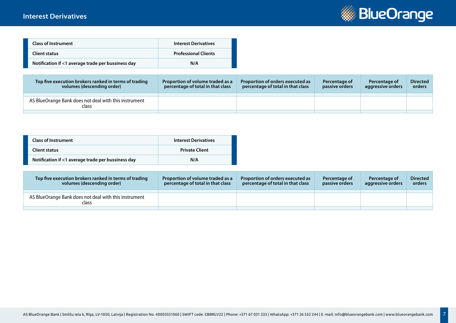#### **Interest Derivatives**



| <b>Class of Instrument</b>                         | <b>Interest Derivatives</b> |
|----------------------------------------------------|-----------------------------|
| <b>Client status</b>                               | <b>Professional Clients</b> |
| Notification if <1 average trade per bussiness day | N/A                         |

| Top five execution brokers ranked in terms of trading<br>volumes (descending order) | Proportion of volume traded as a<br>percentage of total in that class | Proportion of orders executed as<br>percentage of total in that class | Percentage of<br>passive orders | Percentage of<br>aggressive orders | <b>Directed</b><br>orders |
|-------------------------------------------------------------------------------------|-----------------------------------------------------------------------|-----------------------------------------------------------------------|---------------------------------|------------------------------------|---------------------------|
| AS BlueOrange Bank does not deal with this instrument<br>class                      |                                                                       |                                                                       |                                 |                                    |                           |
|                                                                                     |                                                                       |                                                                       |                                 |                                    |                           |

| <b>Class of Instrument</b>                         | <b>Interest Derivatives</b> |
|----------------------------------------------------|-----------------------------|
| Client status                                      | <b>Private Client</b>       |
| Notification if <1 average trade per bussiness day | N/A                         |

| Top five execution brokers ranked in terms of trading<br>volumes (descending order) | Proportion of volume traded as a<br>percentage of total in that class | Proportion of orders executed as<br>percentage of total in that class | Percentage of<br>passive orders | Percentage of<br>aggressive orders | <b>Directed</b><br>orders |
|-------------------------------------------------------------------------------------|-----------------------------------------------------------------------|-----------------------------------------------------------------------|---------------------------------|------------------------------------|---------------------------|
|                                                                                     |                                                                       |                                                                       |                                 |                                    |                           |
| AS BlueOrange Bank does not deal with this instrument<br>class                      |                                                                       |                                                                       |                                 |                                    |                           |
|                                                                                     |                                                                       |                                                                       |                                 |                                    |                           |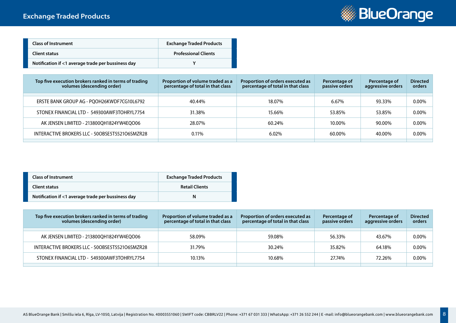

| <b>Class of Instrument</b>                         | <b>Exchange Traded Products</b> |
|----------------------------------------------------|---------------------------------|
| Client status                                      | <b>Professional Clients</b>     |
| Notification if <1 average trade per bussiness day |                                 |

| Top five execution brokers ranked in terms of trading<br>volumes (descending order) | Proportion of volume traded as a<br>percentage of total in that class | Proportion of orders executed as<br>percentage of total in that class | Percentage of<br>passive orders | Percentage of<br>aggressive orders | <b>Directed</b><br>orders |
|-------------------------------------------------------------------------------------|-----------------------------------------------------------------------|-----------------------------------------------------------------------|---------------------------------|------------------------------------|---------------------------|
|                                                                                     |                                                                       |                                                                       |                                 |                                    |                           |
| ERSTE BANK GROUP AG - PQOH26KWDF7CG10L6792                                          | 40.44%                                                                | 18.07%                                                                | 6.67%                           | 93.33%                             | $0.00\%$                  |
| STONEX FINANCIAL LTD - 549300AWF3TOHRYL7754                                         | 31.38%                                                                | 15.66%                                                                | 53.85%                          | 53.85%                             | 0.00%                     |
| AK JENSEN LIMITED - 213800QH1824YW4EQO06                                            | 28.07%                                                                | 60.24%                                                                | 10.00%                          | 90.00%                             | 0.00%                     |
| INTERACTIVE BROKERS LLC - 50OBSE5T5521O6SMZR28                                      | $0.11\%$                                                              | 6.02%                                                                 | 60.00%                          | 40.00%                             | $0.00\%$                  |

| <b>Class of Instrument</b>                         | <b>Exchange Traded Products</b> |
|----------------------------------------------------|---------------------------------|
| Client status                                      | <b>Retail Clients</b>           |
| Notification if <1 average trade per bussiness day | N                               |

| Top five execution brokers ranked in terms of trading<br>volumes (descending order) | Proportion of volume traded as a<br>percentage of total in that class | Proportion of orders executed as<br>percentage of total in that class | Percentage of<br>passive orders | Percentage of<br>aggressive orders | <b>Directed</b><br>orders |
|-------------------------------------------------------------------------------------|-----------------------------------------------------------------------|-----------------------------------------------------------------------|---------------------------------|------------------------------------|---------------------------|
| AK JENSEN LIMITED - 213800QH1824YW4EQO06                                            | 58.09%                                                                | 59.08%                                                                | 56.33%                          | 43.67%                             | 0.00%                     |
|                                                                                     |                                                                       |                                                                       |                                 |                                    |                           |
| INTERACTIVE BROKERS LLC - 50OBSE5T5521O6SMZR28                                      | 31.79%                                                                | 30.24%                                                                | 35.82%                          | 64.18%                             | $0.00\%$                  |
| STONEX FINANCIAL LTD - 549300AWF3TOHRYL7754                                         | 10.13%                                                                | 10.68%                                                                | 27.74%                          | 72.26%                             | $0.00\%$                  |
|                                                                                     |                                                                       |                                                                       |                                 |                                    |                           |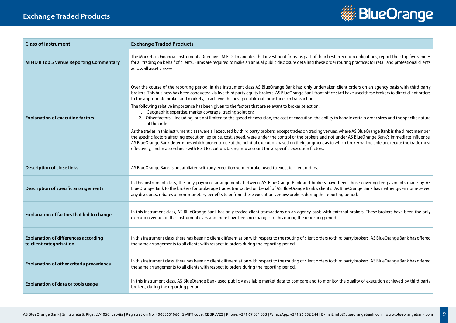## **Exchange Traded Products**



| <b>Class of instrument</b>                                              | <b>Exchange Traded Products</b>                                                                                                                                                                                                                                                                                                                                                                                                                                                                                                                                                                                                                                                                                                                                                                                                                                                                                                                                                                                                                                                                                                                                                                                                                                                                                                                                                                                            |
|-------------------------------------------------------------------------|----------------------------------------------------------------------------------------------------------------------------------------------------------------------------------------------------------------------------------------------------------------------------------------------------------------------------------------------------------------------------------------------------------------------------------------------------------------------------------------------------------------------------------------------------------------------------------------------------------------------------------------------------------------------------------------------------------------------------------------------------------------------------------------------------------------------------------------------------------------------------------------------------------------------------------------------------------------------------------------------------------------------------------------------------------------------------------------------------------------------------------------------------------------------------------------------------------------------------------------------------------------------------------------------------------------------------------------------------------------------------------------------------------------------------|
| <b>MiFID II Top 5 Venue Reporting Commentary</b>                        | The Markets in Financial Instruments Directive - MiFID II mandates that investment firms, as part of their best execution obligations, report their top five venues<br>for all trading on behalf of clients. Firms are required to make an annual public disclosure detailing these order routing practices for retail and professional clients<br>across all asset classes.                                                                                                                                                                                                                                                                                                                                                                                                                                                                                                                                                                                                                                                                                                                                                                                                                                                                                                                                                                                                                                               |
| <b>Explanation of execution factors</b>                                 | Over the course of the reporting period, in this instrument class AS BlueOrange Bank has only undertaken client orders on an agency basis with third party<br>brokers. This business has been conducted via five third party equity brokers. AS BlueOrange Bank front office staff have used these brokers to direct client orders<br>to the appropriate broker and markets, to achieve the best possible outcome for each transaction.<br>The following relative importance has been given to the factors that are relevant to broker selection:<br>1. Geographic expertise, market coverage, trading solution;<br>2. Other factors - including, but not limited to the speed of execution, the cost of execution, the ability to handle certain order sizes and the specific nature<br>of the order.<br>As the trades in this instrument class were all executed by third party brokers, except trades on trading venues, where AS BlueOrange Bank is the direct member,<br>the specific factors affecting execution, eg price, cost, speed, were under the control of the brokers and not under AS BlueOrange Bank's immediate influence.<br>AS BlueOrange Bank determines which broker to use at the point of execution based on their judgment as to which broker will be able to execute the trade most<br>effectively, and in accordance with Best Execution, taking into account these specific execution factors. |
| <b>Description of close links</b>                                       | AS BlueOrange Bank is not affiliated with any execution venue/broker used to execute client orders.                                                                                                                                                                                                                                                                                                                                                                                                                                                                                                                                                                                                                                                                                                                                                                                                                                                                                                                                                                                                                                                                                                                                                                                                                                                                                                                        |
| <b>Description of specific arrangements</b>                             | In this instrument class, the only payment arrangements between AS BlueOrange Bank and brokers have been those covering fee payments made by AS<br>BlueOrange Bank to the brokers for brokerage trades transacted on behalf of AS BlueOrange Bank's clients. As BlueOrange Bank has neither given nor received<br>any discounts, rebates or non-monetary benefits to or from these execution venues/brokers during the reporting period.                                                                                                                                                                                                                                                                                                                                                                                                                                                                                                                                                                                                                                                                                                                                                                                                                                                                                                                                                                                   |
| Explanation of factors that led to change                               | In this instrument class, AS BlueOrange Bank has only traded client transactions on an agency basis with external brokers. These brokers have been the only<br>execution venues in this instrument class and there have been no changes to this during the reporting period.                                                                                                                                                                                                                                                                                                                                                                                                                                                                                                                                                                                                                                                                                                                                                                                                                                                                                                                                                                                                                                                                                                                                               |
| <b>Explanation of differences according</b><br>to client categorisation | In this instrument class, there has been no client differentiation with respect to the routing of client orders to third party brokers. AS BlueOrange Bank has offered<br>the same arrangements to all clients with respect to orders during the reporting period.                                                                                                                                                                                                                                                                                                                                                                                                                                                                                                                                                                                                                                                                                                                                                                                                                                                                                                                                                                                                                                                                                                                                                         |
| Explanation of other criteria precedence                                | In this instrument class, there has been no client differentiation with respect to the routing of client orders to third party brokers. AS BlueOrange Bank has offered<br>the same arrangements to all clients with respect to orders during the reporting period.                                                                                                                                                                                                                                                                                                                                                                                                                                                                                                                                                                                                                                                                                                                                                                                                                                                                                                                                                                                                                                                                                                                                                         |
| <b>Explanation of data or tools usage</b>                               | In this instrument class, AS BlueOrange Bank used publicly available market data to compare and to monitor the quality of execution achieved by third party<br>brokers, during the reporting period.                                                                                                                                                                                                                                                                                                                                                                                                                                                                                                                                                                                                                                                                                                                                                                                                                                                                                                                                                                                                                                                                                                                                                                                                                       |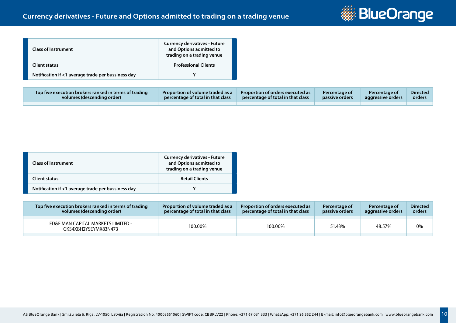

| <b>Class of Instrument</b>                         | <b>Currency derivatives - Future</b><br>and Options admitted to<br>trading on a trading venue |
|----------------------------------------------------|-----------------------------------------------------------------------------------------------|
| <b>Client status</b>                               | <b>Professional Clients</b>                                                                   |
| Notification if <1 average trade per bussiness day |                                                                                               |

| Top five execution brokers ranked in terms of trading | <b>Proportion of volume traded as a</b> | Proportion of orders executed as  | Percentage of  | <b>Percentage of</b> | <b>Directed</b> |
|-------------------------------------------------------|-----------------------------------------|-----------------------------------|----------------|----------------------|-----------------|
| volumes (descending order)                            | percentage of total in that class       | percentage of total in that class | passive orders | aggressive orders    | orders          |
|                                                       |                                         |                                   |                |                      |                 |

| <b>Class of Instrument</b>                         | <b>Currency derivatives - Future</b><br>and Options admitted to<br>trading on a trading venue |
|----------------------------------------------------|-----------------------------------------------------------------------------------------------|
| <b>Client status</b>                               | <b>Retail Clients</b>                                                                         |
| Notification if <1 average trade per bussiness day |                                                                                               |

| Top five execution brokers ranked in terms of trading<br>volumes (descending order) | <b>Proportion of volume traded as a</b><br>percentage of total in that class | Proportion of orders executed as<br>percentage of total in that class | Percentage of<br><b>passive orders</b> | Percentage of<br>aggressive orders | <b>Directed</b><br>orders |
|-------------------------------------------------------------------------------------|------------------------------------------------------------------------------|-----------------------------------------------------------------------|----------------------------------------|------------------------------------|---------------------------|
| ED&F MAN CAPITAL MARKETS LIMITED -<br>GKS4XBH2YSEYMX83N473                          | 100.00%                                                                      | 100.00%                                                               | 51.43%                                 | 48.57%                             | 0%                        |
|                                                                                     |                                                                              |                                                                       |                                        |                                    |                           |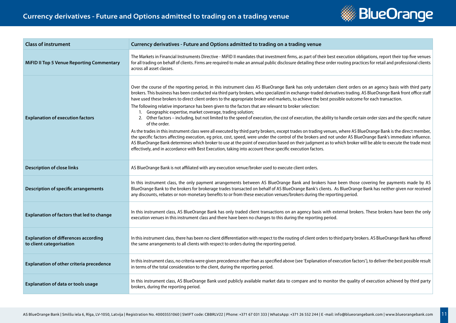

| <b>Class of instrument</b>                                              | Currency derivatives - Future and Options admitted to trading on a trading venue                                                                                                                                                                                                                                                                                                                                                                                                                                                                                                                                                                                                                                                                                                                                                                                                                                                                                                                                                                                                                                                                                                                                                                                                                                                                                                                                                                                       |
|-------------------------------------------------------------------------|------------------------------------------------------------------------------------------------------------------------------------------------------------------------------------------------------------------------------------------------------------------------------------------------------------------------------------------------------------------------------------------------------------------------------------------------------------------------------------------------------------------------------------------------------------------------------------------------------------------------------------------------------------------------------------------------------------------------------------------------------------------------------------------------------------------------------------------------------------------------------------------------------------------------------------------------------------------------------------------------------------------------------------------------------------------------------------------------------------------------------------------------------------------------------------------------------------------------------------------------------------------------------------------------------------------------------------------------------------------------------------------------------------------------------------------------------------------------|
| <b>MiFID II Top 5 Venue Reporting Commentary</b>                        | The Markets in Financial Instruments Directive - MiFID II mandates that investment firms, as part of their best execution obligations, report their top five venues<br>for all trading on behalf of clients. Firms are required to make an annual public disclosure detailing these order routing practices for retail and professional clients<br>across all asset classes.                                                                                                                                                                                                                                                                                                                                                                                                                                                                                                                                                                                                                                                                                                                                                                                                                                                                                                                                                                                                                                                                                           |
| <b>Explanation of execution factors</b>                                 | Over the course of the reporting period, in this instrument class AS BlueOrange Bank has only undertaken client orders on an agency basis with third party<br>brokers. This business has been conducted via third party brokers, who specialized in exchange-traded derivatives trading. AS BlueOrange Bank front office staff<br>have used these brokers to direct client orders to the appropriate broker and markets, to achieve the best possible outcome for each transaction.<br>The following relative importance has been given to the factors that are relevant to broker selection:<br>1. Geographic expertise, market coverage, trading solution;<br>2. Other factors - including, but not limited to the speed of execution, the cost of execution, the ability to handle certain order sizes and the specific nature<br>of the order.<br>As the trades in this instrument class were all executed by third party brokers, except trades on trading venues, where AS BlueOrange Bank is the direct member,<br>the specific factors affecting execution, eg price, cost, speed, were under the control of the brokers and not under AS BlueOrange Bank's immediate influence.<br>AS BlueOrange Bank determines which broker to use at the point of execution based on their judgment as to which broker will be able to execute the trade most<br>effectively, and in accordance with Best Execution, taking into account these specific execution factors. |
| <b>Description of close links</b>                                       | AS BlueOrange Bank is not affiliated with any execution venue/broker used to execute client orders.                                                                                                                                                                                                                                                                                                                                                                                                                                                                                                                                                                                                                                                                                                                                                                                                                                                                                                                                                                                                                                                                                                                                                                                                                                                                                                                                                                    |
| <b>Description of specific arrangements</b>                             | In this instrument class, the only payment arrangements between AS BlueOrange Bank and brokers have been those covering fee payments made by AS<br>BlueOrange Bank to the brokers for brokerage trades transacted on behalf of AS BlueOrange Bank's clients. As BlueOrange Bank has neither given nor received<br>any discounts, rebates or non-monetary benefits to or from these execution venues/brokers during the reporting period.                                                                                                                                                                                                                                                                                                                                                                                                                                                                                                                                                                                                                                                                                                                                                                                                                                                                                                                                                                                                                               |
| <b>Explanation of factors that led to change</b>                        | In this instrument class, AS BlueOrange Bank has only traded client transactions on an agency basis with external brokers. These brokers have been the only<br>execution venues in this instrument class and there have been no changes to this during the reporting period.                                                                                                                                                                                                                                                                                                                                                                                                                                                                                                                                                                                                                                                                                                                                                                                                                                                                                                                                                                                                                                                                                                                                                                                           |
| <b>Explanation of differences according</b><br>to client categorisation | In this instrument class, there has been no client differentiation with respect to the routing of client orders to third party brokers. AS BlueOrange Bank has offered<br>the same arrangements to all clients with respect to orders during the reporting period.                                                                                                                                                                                                                                                                                                                                                                                                                                                                                                                                                                                                                                                                                                                                                                                                                                                                                                                                                                                                                                                                                                                                                                                                     |
| Explanation of other criteria precedence                                | In this instrument class, no criteria were given precedence other than as specified above (see 'Explanation of execution factors'), to deliver the best possible result<br>in terms of the total consideration to the client, during the reporting period.                                                                                                                                                                                                                                                                                                                                                                                                                                                                                                                                                                                                                                                                                                                                                                                                                                                                                                                                                                                                                                                                                                                                                                                                             |
| <b>Explanation of data or tools usage</b>                               | In this instrument class, AS BlueOrange Bank used publicly available market data to compare and to monitor the quality of execution achieved by third party<br>brokers, during the reporting period.                                                                                                                                                                                                                                                                                                                                                                                                                                                                                                                                                                                                                                                                                                                                                                                                                                                                                                                                                                                                                                                                                                                                                                                                                                                                   |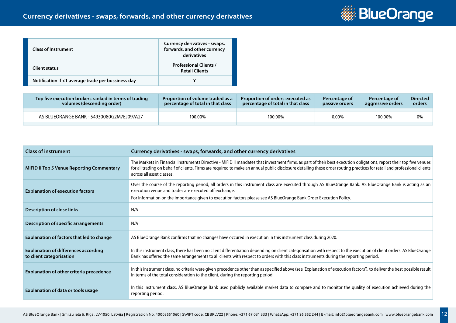

| <b>Class of Instrument</b>                         | Currency derivatives - swaps,<br>forwards, and other currency<br>derivatives |
|----------------------------------------------------|------------------------------------------------------------------------------|
| Client status                                      | <b>Professional Clients /</b><br><b>Retail Clients</b>                       |
| Notification if <1 average trade per bussiness day |                                                                              |

| Top five execution brokers ranked in terms of trading<br>volumes (descending order) | <b>Proportion of volume traded as a</b><br>percentage of total in that class | Proportion of orders executed as<br>percentage of total in that class | Percentage of<br><b>passive orders</b> | Percentage of<br>aggressive orders | <b>Directed</b><br>orders |
|-------------------------------------------------------------------------------------|------------------------------------------------------------------------------|-----------------------------------------------------------------------|----------------------------------------|------------------------------------|---------------------------|
|                                                                                     |                                                                              |                                                                       |                                        |                                    |                           |
| AS BLUEORANGE BANK - 54930080G2M7EJ097A27                                           | 100.00%                                                                      | 100.00%                                                               | 0.00%                                  | 100.00%                            | 0%                        |
|                                                                                     |                                                                              |                                                                       |                                        |                                    |                           |

| <b>Class of instrument</b>                                              | Currency derivatives - swaps, forwards, and other currency derivatives                                                                                                                                                                                                                                                                                                       |
|-------------------------------------------------------------------------|------------------------------------------------------------------------------------------------------------------------------------------------------------------------------------------------------------------------------------------------------------------------------------------------------------------------------------------------------------------------------|
| <b>MiFID II Top 5 Venue Reporting Commentary</b>                        | The Markets in Financial Instruments Directive - MiFID II mandates that investment firms, as part of their best execution obligations, report their top five venues<br>for all trading on behalf of clients. Firms are required to make an annual public disclosure detailing these order routing practices for retail and professional clients<br>across all asset classes. |
| <b>Explanation of execution factors</b>                                 | Over the course of the reporting period, all orders in this instrument class are executed through AS BlueOrange Bank. AS BlueOrange Bank is acting as an<br>execution venue and trades are executed off exchange.<br>For information on the importance given to execution factors please see AS BlueOrange Bank Order Execution Policy.                                      |
| Description of close links                                              | N/A                                                                                                                                                                                                                                                                                                                                                                          |
| Description of specific arrangements                                    | N/A                                                                                                                                                                                                                                                                                                                                                                          |
| <b>Explanation of factors that led to change</b>                        | AS BlueOrange Bank confirms that no changes have occured in execution in this instrument class during 2020.                                                                                                                                                                                                                                                                  |
| <b>Explanation of differences according</b><br>to client categorisation | In this instrument class, there has been no client differentiation depending on client categorisation with respect to the execution of client orders. AS BlueOrange<br>Bank has offered the same arrangements to all clients with respect to orders with this class instruments during the reporting period.                                                                 |
| Explanation of other criteria precedence                                | In this instrument class, no criteria were given precedence other than as specified above (see 'Explanation of execution factors'), to deliver the best possible result<br>in terms of the total consideration to the client, during the reporting period.                                                                                                                   |
| Explanation of data or tools usage                                      | In this instrument class, AS BlueOrange Bank used publicly available market data to compare and to monitor the quality of execution achieved during the<br>reporting period.                                                                                                                                                                                                 |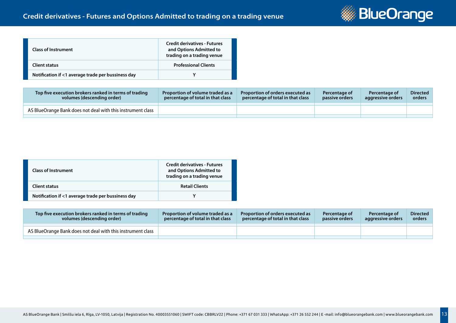

| <b>Class of Instrument</b>                         | <b>Credit derivatives - Futures</b><br>and Options Admitted to<br>trading on a trading venue |
|----------------------------------------------------|----------------------------------------------------------------------------------------------|
| Client status                                      | <b>Professional Clients</b>                                                                  |
| Notification if <1 average trade per bussiness day |                                                                                              |

| Top five execution brokers ranked in terms of trading<br>volumes (descending order) | Proportion of volume traded as a<br>percentage of total in that class | Proportion of orders executed as<br>percentage of total in that class | Percentage of<br>passive orders | <b>Percentage of</b><br>aggressive orders | <b>Directed</b><br>orders |
|-------------------------------------------------------------------------------------|-----------------------------------------------------------------------|-----------------------------------------------------------------------|---------------------------------|-------------------------------------------|---------------------------|
| AS BlueOrange Bank does not deal with this instrument class                         |                                                                       |                                                                       |                                 |                                           |                           |
|                                                                                     |                                                                       |                                                                       |                                 |                                           |                           |

| <b>Class of Instrument</b>                         | <b>Credit derivatives - Futures</b><br>and Options Admitted to<br>trading on a trading venue |
|----------------------------------------------------|----------------------------------------------------------------------------------------------|
| <b>Client status</b>                               | <b>Retail Clients</b>                                                                        |
| Notification if <1 average trade per bussiness day |                                                                                              |

| Top five execution brokers ranked in terms of trading<br>volumes (descending order) | <b>Proportion of volume traded as a</b><br>percentage of total in that class | <b>Proportion of orders executed as</b><br>percentage of total in that class | Percentage of<br>passive orders | Percentage of<br>aggressive orders | <b>Directed</b><br>orders |
|-------------------------------------------------------------------------------------|------------------------------------------------------------------------------|------------------------------------------------------------------------------|---------------------------------|------------------------------------|---------------------------|
| AS BlueOrange Bank does not deal with this instrument class                         |                                                                              |                                                                              |                                 |                                    |                           |
|                                                                                     |                                                                              |                                                                              |                                 |                                    |                           |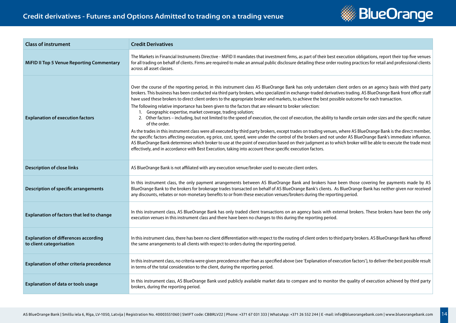

| <b>Class of instrument</b>                                              | <b>Credit Derivatives</b>                                                                                                                                                                                                                                                                                                                                                                                                                                                                                                                                                                                                                                                                                                                                                                                                                                                                                                                                                                                                                                                                                                                                                                                                                                                                                                                                                                                                                                              |
|-------------------------------------------------------------------------|------------------------------------------------------------------------------------------------------------------------------------------------------------------------------------------------------------------------------------------------------------------------------------------------------------------------------------------------------------------------------------------------------------------------------------------------------------------------------------------------------------------------------------------------------------------------------------------------------------------------------------------------------------------------------------------------------------------------------------------------------------------------------------------------------------------------------------------------------------------------------------------------------------------------------------------------------------------------------------------------------------------------------------------------------------------------------------------------------------------------------------------------------------------------------------------------------------------------------------------------------------------------------------------------------------------------------------------------------------------------------------------------------------------------------------------------------------------------|
| <b>MiFID II Top 5 Venue Reporting Commentary</b>                        | The Markets in Financial Instruments Directive - MiFID II mandates that investment firms, as part of their best execution obligations, report their top five venues<br>for all trading on behalf of clients. Firms are required to make an annual public disclosure detailing these order routing practices for retail and professional clients<br>across all asset classes.                                                                                                                                                                                                                                                                                                                                                                                                                                                                                                                                                                                                                                                                                                                                                                                                                                                                                                                                                                                                                                                                                           |
| <b>Explanation of execution factors</b>                                 | Over the course of the reporting period, in this instrument class AS BlueOrange Bank has only undertaken client orders on an agency basis with third party<br>brokers. This business has been conducted via third party brokers, who specialized in exchange-traded derivatives trading. AS BlueOrange Bank front office staff<br>have used these brokers to direct client orders to the appropriate broker and markets, to achieve the best possible outcome for each transaction.<br>The following relative importance has been given to the factors that are relevant to broker selection:<br>1. Geographic expertise, market coverage, trading solution;<br>2. Other factors - including, but not limited to the speed of execution, the cost of execution, the ability to handle certain order sizes and the specific nature<br>of the order.<br>As the trades in this instrument class were all executed by third party brokers, except trades on trading venues, where AS BlueOrange Bank is the direct member,<br>the specific factors affecting execution, eg price, cost, speed, were under the control of the brokers and not under AS BlueOrange Bank's immediate influence.<br>AS BlueOrange Bank determines which broker to use at the point of execution based on their judgment as to which broker will be able to execute the trade most<br>effectively, and in accordance with Best Execution, taking into account these specific execution factors. |
| <b>Description of close links</b>                                       | AS BlueOrange Bank is not affiliated with any execution venue/broker used to execute client orders.                                                                                                                                                                                                                                                                                                                                                                                                                                                                                                                                                                                                                                                                                                                                                                                                                                                                                                                                                                                                                                                                                                                                                                                                                                                                                                                                                                    |
| <b>Description of specific arrangements</b>                             | In this instrument class, the only payment arrangements between AS BlueOrange Bank and brokers have been those covering fee payments made by AS<br>BlueOrange Bank to the brokers for brokerage trades transacted on behalf of AS BlueOrange Bank's clients. As BlueOrange Bank has neither given nor received<br>any discounts, rebates or non-monetary benefits to or from these execution venues/brokers during the reporting period.                                                                                                                                                                                                                                                                                                                                                                                                                                                                                                                                                                                                                                                                                                                                                                                                                                                                                                                                                                                                                               |
| Explanation of factors that led to change                               | In this instrument class, AS BlueOrange Bank has only traded client transactions on an agency basis with external brokers. These brokers have been the only<br>execution venues in this instrument class and there have been no changes to this during the reporting period.                                                                                                                                                                                                                                                                                                                                                                                                                                                                                                                                                                                                                                                                                                                                                                                                                                                                                                                                                                                                                                                                                                                                                                                           |
| <b>Explanation of differences according</b><br>to client categorisation | In this instrument class, there has been no client differentiation with respect to the routing of client orders to third party brokers. AS BlueOrange Bank has offered<br>the same arrangements to all clients with respect to orders during the reporting period.                                                                                                                                                                                                                                                                                                                                                                                                                                                                                                                                                                                                                                                                                                                                                                                                                                                                                                                                                                                                                                                                                                                                                                                                     |
| Explanation of other criteria precedence                                | In this instrument class, no criteria were given precedence other than as specified above (see 'Explanation of execution factors'), to deliver the best possible result<br>in terms of the total consideration to the client, during the reporting period.                                                                                                                                                                                                                                                                                                                                                                                                                                                                                                                                                                                                                                                                                                                                                                                                                                                                                                                                                                                                                                                                                                                                                                                                             |
| <b>Explanation of data or tools usage</b>                               | In this instrument class, AS BlueOrange Bank used publicly available market data to compare and to monitor the quality of execution achieved by third party<br>brokers, during the reporting period.                                                                                                                                                                                                                                                                                                                                                                                                                                                                                                                                                                                                                                                                                                                                                                                                                                                                                                                                                                                                                                                                                                                                                                                                                                                                   |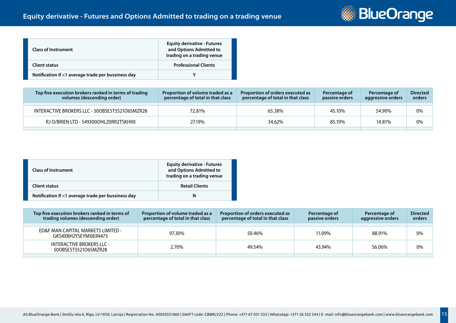

| <b>Class of Instrument</b>                         | <b>Equity derivative - Futures</b><br>and Options Admitted to<br>trading on a trading venue |
|----------------------------------------------------|---------------------------------------------------------------------------------------------|
| <b>Client status</b>                               | <b>Professional Clients</b>                                                                 |
| Notification if <1 average trade per bussiness day |                                                                                             |

| Top five execution brokers ranked in terms of trading<br>volumes (descending order) | Proportion of volume traded as a<br>percentage of total in that class | Proportion of orders executed as<br>percentage of total in that class | Percentage of<br>passive orders | Percentage of<br>aggressive orders | <b>Directed</b><br>orders |
|-------------------------------------------------------------------------------------|-----------------------------------------------------------------------|-----------------------------------------------------------------------|---------------------------------|------------------------------------|---------------------------|
| INTERACTIVE BROKERS LLC - 50OBSE5T5521O6SMZR28                                      | 72.81%                                                                | 65.38%                                                                | 45.10%                          | 54.90%                             | 0%                        |
| RJ O/BRIEN LTD - 549300OHLZ0RR2TSKH90                                               | 27.19%                                                                | 34.62%                                                                | 85.19%                          | 14.81%                             | 0%                        |

| <b>Class of Instrument</b>                         | <b>Equity derivative - Futures</b><br>and Options Admitted to<br>trading on a trading venue |
|----------------------------------------------------|---------------------------------------------------------------------------------------------|
| Client status                                      | <b>Retail Clients</b>                                                                       |
| Notification if <1 average trade per bussiness day | N                                                                                           |

| Top five execution brokers ranked in terms of<br>trading volumes (descending order) | Proportion of volume traded as a<br>percentage of total in that class | Proportion of orders executed as<br>percentage of total in that class | Percentage of<br>passive orders | Percentage of<br>aggressive orders | <b>Directed</b><br>orders |
|-------------------------------------------------------------------------------------|-----------------------------------------------------------------------|-----------------------------------------------------------------------|---------------------------------|------------------------------------|---------------------------|
|                                                                                     |                                                                       |                                                                       |                                 |                                    |                           |
| ED&F MAN CAPITAL MARKETS LIMITED -<br>GKS4XBH2YSEYMX83N473                          | 97.30%                                                                | 50.46%                                                                | 11.09%                          | 88.91%                             | 0%                        |
| INTERACTIVE BROKERS LLC -<br>50OBSE5T5521O6SMZR28                                   | 2.70%                                                                 | 49.54%                                                                | 43.94%                          | 56.06%                             | 0%                        |
|                                                                                     |                                                                       |                                                                       |                                 |                                    |                           |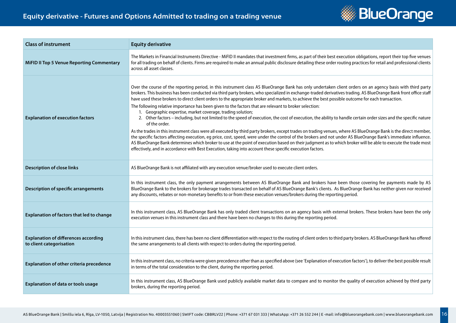

| <b>Class of instrument</b>                                              | <b>Equity derivative</b>                                                                                                                                                                                                                                                                                                                                                                                                                                                                                                                                                                                                                                                                                                                                                                                                                                                                                                                                                                                                                                                                                                                                                                                                                                                                                                                                                                                                                                               |
|-------------------------------------------------------------------------|------------------------------------------------------------------------------------------------------------------------------------------------------------------------------------------------------------------------------------------------------------------------------------------------------------------------------------------------------------------------------------------------------------------------------------------------------------------------------------------------------------------------------------------------------------------------------------------------------------------------------------------------------------------------------------------------------------------------------------------------------------------------------------------------------------------------------------------------------------------------------------------------------------------------------------------------------------------------------------------------------------------------------------------------------------------------------------------------------------------------------------------------------------------------------------------------------------------------------------------------------------------------------------------------------------------------------------------------------------------------------------------------------------------------------------------------------------------------|
| <b>MiFID II Top 5 Venue Reporting Commentary</b>                        | The Markets in Financial Instruments Directive - MiFID II mandates that investment firms, as part of their best execution obligations, report their top five venues<br>for all trading on behalf of clients. Firms are required to make an annual public disclosure detailing these order routing practices for retail and professional clients<br>across all asset classes.                                                                                                                                                                                                                                                                                                                                                                                                                                                                                                                                                                                                                                                                                                                                                                                                                                                                                                                                                                                                                                                                                           |
| <b>Explanation of execution factors</b>                                 | Over the course of the reporting period, in this instrument class AS BlueOrange Bank has only undertaken client orders on an agency basis with third party<br>brokers. This business has been conducted via third party brokers, who specialized in exchange-traded derivatives trading. AS BlueOrange Bank front office staff<br>have used these brokers to direct client orders to the appropriate broker and markets, to achieve the best possible outcome for each transaction.<br>The following relative importance has been given to the factors that are relevant to broker selection:<br>1. Geographic expertise, market coverage, trading solution;<br>2. Other factors - including, but not limited to the speed of execution, the cost of execution, the ability to handle certain order sizes and the specific nature<br>of the order.<br>As the trades in this instrument class were all executed by third party brokers, except trades on trading venues, where AS BlueOrange Bank is the direct member,<br>the specific factors affecting execution, eg price, cost, speed, were under the control of the brokers and not under AS BlueOrange Bank's immediate influence.<br>AS BlueOrange Bank determines which broker to use at the point of execution based on their judgment as to which broker will be able to execute the trade most<br>effectively, and in accordance with Best Execution, taking into account these specific execution factors. |
| <b>Description of close links</b>                                       | AS BlueOrange Bank is not affiliated with any execution venue/broker used to execute client orders.                                                                                                                                                                                                                                                                                                                                                                                                                                                                                                                                                                                                                                                                                                                                                                                                                                                                                                                                                                                                                                                                                                                                                                                                                                                                                                                                                                    |
| <b>Description of specific arrangements</b>                             | In this instrument class, the only payment arrangements between AS BlueOrange Bank and brokers have been those covering fee payments made by AS<br>BlueOrange Bank to the brokers for brokerage trades transacted on behalf of AS BlueOrange Bank's clients. As BlueOrange Bank has neither given nor received<br>any discounts, rebates or non-monetary benefits to or from these execution venues/brokers during the reporting period.                                                                                                                                                                                                                                                                                                                                                                                                                                                                                                                                                                                                                                                                                                                                                                                                                                                                                                                                                                                                                               |
| <b>Explanation of factors that led to change</b>                        | In this instrument class, AS BlueOrange Bank has only traded client transactions on an agency basis with external brokers. These brokers have been the only<br>execution venues in this instrument class and there have been no changes to this during the reporting period.                                                                                                                                                                                                                                                                                                                                                                                                                                                                                                                                                                                                                                                                                                                                                                                                                                                                                                                                                                                                                                                                                                                                                                                           |
| <b>Explanation of differences according</b><br>to client categorisation | In this instrument class, there has been no client differentiation with respect to the routing of client orders to third party brokers. AS BlueOrange Bank has offered<br>the same arrangements to all clients with respect to orders during the reporting period.                                                                                                                                                                                                                                                                                                                                                                                                                                                                                                                                                                                                                                                                                                                                                                                                                                                                                                                                                                                                                                                                                                                                                                                                     |
| Explanation of other criteria precedence                                | In this instrument class, no criteria were given precedence other than as specified above (see 'Explanation of execution factors'), to deliver the best possible result<br>in terms of the total consideration to the client, during the reporting period.                                                                                                                                                                                                                                                                                                                                                                                                                                                                                                                                                                                                                                                                                                                                                                                                                                                                                                                                                                                                                                                                                                                                                                                                             |
| <b>Explanation of data or tools usage</b>                               | In this instrument class, AS BlueOrange Bank used publicly available market data to compare and to monitor the quality of execution achieved by third party<br>brokers, during the reporting period.                                                                                                                                                                                                                                                                                                                                                                                                                                                                                                                                                                                                                                                                                                                                                                                                                                                                                                                                                                                                                                                                                                                                                                                                                                                                   |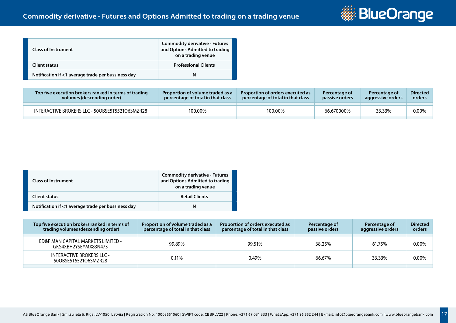

| <b>Class of Instrument</b>                         | <b>Commodity derivative - Futures</b><br>and Options Admitted to trading<br>on a trading venue |
|----------------------------------------------------|------------------------------------------------------------------------------------------------|
| <b>Client status</b>                               | <b>Professional Clients</b>                                                                    |
| Notification if <1 average trade per bussiness day | N                                                                                              |

| Top five execution brokers ranked in terms of trading<br>volumes (descending order) | <b>Proportion of volume traded as a</b><br>percentage of total in that class | <b>Proportion of orders executed as</b><br>percentage of total in that class | Percentage of<br>passive orders | Percentage of<br>aggressive orders | <b>Directed</b><br>orders |
|-------------------------------------------------------------------------------------|------------------------------------------------------------------------------|------------------------------------------------------------------------------|---------------------------------|------------------------------------|---------------------------|
|                                                                                     |                                                                              |                                                                              |                                 |                                    |                           |
| INTERACTIVE BROKERS LLC - 50OBSE5T5521O6SMZR28                                      | 100.00%                                                                      | 100.00%                                                                      | 66.670000%                      | 33.33%                             | $0.00\%$                  |
|                                                                                     |                                                                              |                                                                              |                                 |                                    |                           |

| <b>Class of Instrument</b>                         | <b>Commodity derivative - Futures</b><br>and Options Admitted to trading<br>on a trading venue |
|----------------------------------------------------|------------------------------------------------------------------------------------------------|
| <b>Client status</b>                               | <b>Retail Clients</b>                                                                          |
| Notification if <1 average trade per bussiness day | N                                                                                              |

| Top five execution brokers ranked in terms of<br>trading volumes (descending order) | Proportion of volume traded as a<br>percentage of total in that class | Proportion of orders executed as<br>percentage of total in that class | Percentage of<br>passive orders | Percentage of<br>aggressive orders | <b>Directed</b><br>orders |
|-------------------------------------------------------------------------------------|-----------------------------------------------------------------------|-----------------------------------------------------------------------|---------------------------------|------------------------------------|---------------------------|
| ED&F MAN CAPITAL MARKETS LIMITED -<br>GKS4XBH2YSEYMX83N473                          | 99.89%                                                                | 99.51%                                                                | 38.25%                          | 61.75%                             | 0.00%                     |
| <b>INTERACTIVE BROKERS LLC -</b><br>50OBSE5T5521O6SMZR28                            | 0.11%                                                                 | 0.49%                                                                 | 66.67%                          | 33.33%                             | $0.00\%$                  |
|                                                                                     |                                                                       |                                                                       |                                 |                                    |                           |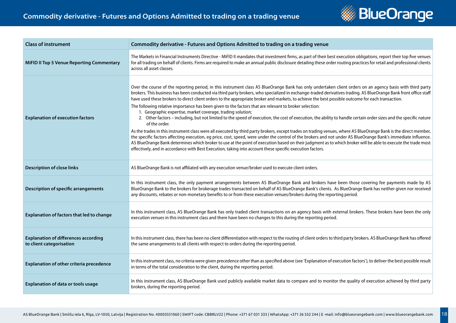

| <b>Class of instrument</b>                                              | Commodity derivative - Futures and Options Admitted to trading on a trading venue                                                                                                                                                                                                                                                                                                                                                                                                                                                                                                                                                                                                                                                                                                                                                                                                                                                                                                                                                                                                                                                                                                                                                                                                                                                                                                                                                                                      |
|-------------------------------------------------------------------------|------------------------------------------------------------------------------------------------------------------------------------------------------------------------------------------------------------------------------------------------------------------------------------------------------------------------------------------------------------------------------------------------------------------------------------------------------------------------------------------------------------------------------------------------------------------------------------------------------------------------------------------------------------------------------------------------------------------------------------------------------------------------------------------------------------------------------------------------------------------------------------------------------------------------------------------------------------------------------------------------------------------------------------------------------------------------------------------------------------------------------------------------------------------------------------------------------------------------------------------------------------------------------------------------------------------------------------------------------------------------------------------------------------------------------------------------------------------------|
| <b>MiFID II Top 5 Venue Reporting Commentary</b>                        | The Markets in Financial Instruments Directive - MiFID II mandates that investment firms, as part of their best execution obligations, report their top five venues<br>for all trading on behalf of clients. Firms are required to make an annual public disclosure detailing these order routing practices for retail and professional clients<br>across all asset classes.                                                                                                                                                                                                                                                                                                                                                                                                                                                                                                                                                                                                                                                                                                                                                                                                                                                                                                                                                                                                                                                                                           |
| <b>Explanation of execution factors</b>                                 | Over the course of the reporting period, in this instrument class AS BlueOrange Bank has only undertaken client orders on an agency basis with third party<br>brokers. This business has been conducted via third party brokers, who specialized in exchange-traded derivatives trading. AS BlueOrange Bank front office staff<br>have used these brokers to direct client orders to the appropriate broker and markets, to achieve the best possible outcome for each transaction.<br>The following relative importance has been given to the factors that are relevant to broker selection:<br>1. Geographic expertise, market coverage, trading solution;<br>2. Other factors - including, but not limited to the speed of execution, the cost of execution, the ability to handle certain order sizes and the specific nature<br>of the order.<br>As the trades in this instrument class were all executed by third party brokers, except trades on trading venues, where AS BlueOrange Bank is the direct member,<br>the specific factors affecting execution, eg price, cost, speed, were under the control of the brokers and not under AS BlueOrange Bank's immediate influence.<br>AS BlueOrange Bank determines which broker to use at the point of execution based on their judgment as to which broker will be able to execute the trade most<br>effectively, and in accordance with Best Execution, taking into account these specific execution factors. |
| <b>Description of close links</b>                                       | AS BlueOrange Bank is not affiliated with any execution venue/broker used to execute client orders.                                                                                                                                                                                                                                                                                                                                                                                                                                                                                                                                                                                                                                                                                                                                                                                                                                                                                                                                                                                                                                                                                                                                                                                                                                                                                                                                                                    |
| <b>Description of specific arrangements</b>                             | In this instrument class, the only payment arrangements between AS BlueOrange Bank and brokers have been those covering fee payments made by AS<br>BlueOrange Bank to the brokers for brokerage trades transacted on behalf of AS BlueOrange Bank's clients. As BlueOrange Bank has neither given nor received<br>any discounts, rebates or non-monetary benefits to or from these execution venues/brokers during the reporting period.                                                                                                                                                                                                                                                                                                                                                                                                                                                                                                                                                                                                                                                                                                                                                                                                                                                                                                                                                                                                                               |
| <b>Explanation of factors that led to change</b>                        | In this instrument class, AS BlueOrange Bank has only traded client transactions on an agency basis with external brokers. These brokers have been the only<br>execution venues in this instrument class and there have been no changes to this during the reporting period.                                                                                                                                                                                                                                                                                                                                                                                                                                                                                                                                                                                                                                                                                                                                                                                                                                                                                                                                                                                                                                                                                                                                                                                           |
| <b>Explanation of differences according</b><br>to client categorisation | In this instrument class, there has been no client differentiation with respect to the routing of client orders to third party brokers. AS BlueOrange Bank has offered<br>the same arrangements to all clients with respect to orders during the reporting period.                                                                                                                                                                                                                                                                                                                                                                                                                                                                                                                                                                                                                                                                                                                                                                                                                                                                                                                                                                                                                                                                                                                                                                                                     |
| Explanation of other criteria precedence                                | In this instrument class, no criteria were given precedence other than as specified above (see 'Explanation of execution factors'), to deliver the best possible result<br>in terms of the total consideration to the client, during the reporting period.                                                                                                                                                                                                                                                                                                                                                                                                                                                                                                                                                                                                                                                                                                                                                                                                                                                                                                                                                                                                                                                                                                                                                                                                             |
| <b>Explanation of data or tools usage</b>                               | In this instrument class, AS BlueOrange Bank used publicly available market data to compare and to monitor the quality of execution achieved by third party<br>brokers, during the reporting period.                                                                                                                                                                                                                                                                                                                                                                                                                                                                                                                                                                                                                                                                                                                                                                                                                                                                                                                                                                                                                                                                                                                                                                                                                                                                   |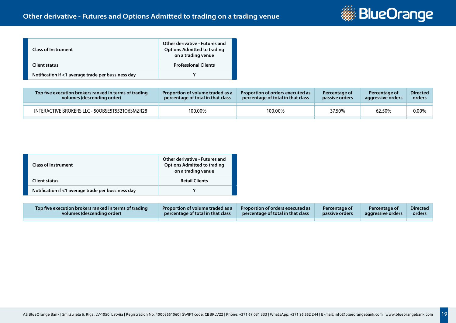

| <b>Class of Instrument</b>                         | Other derivative - Futures and<br><b>Options Admitted to trading</b><br>on a trading venue |
|----------------------------------------------------|--------------------------------------------------------------------------------------------|
| <b>Client status</b>                               | <b>Professional Clients</b>                                                                |
| Notification if <1 average trade per bussiness day |                                                                                            |

| Top five execution brokers ranked in terms of trading<br>volumes (descending order) | Proportion of volume traded as a<br>percentage of total in that class | <b>Proportion of orders executed as</b><br>percentage of total in that class | Percentage of<br>passive orders | Percentage of<br>aggressive orders | <b>Directed</b><br>orders |
|-------------------------------------------------------------------------------------|-----------------------------------------------------------------------|------------------------------------------------------------------------------|---------------------------------|------------------------------------|---------------------------|
| INTERACTIVE BROKERS LLC - 50OBSE5T5521O6SMZR28                                      | 100.00%                                                               | 100.00%                                                                      | 37.50%                          | 62.50%                             | 0.00%                     |
|                                                                                     |                                                                       |                                                                              |                                 |                                    |                           |

| <b>Class of Instrument</b>                         | Other derivative - Futures and<br><b>Options Admitted to trading</b><br>on a trading venue |
|----------------------------------------------------|--------------------------------------------------------------------------------------------|
| <b>Client status</b>                               | <b>Retail Clients</b>                                                                      |
| Notification if <1 average trade per bussiness day |                                                                                            |

| <b>Top five execution brokers ranked in terms of trading</b> | Proportion of volume traded as a  | Proportion of orders executed as         | <b>Percentage of</b> | <b>Percentage of</b> | <b>Directed</b> |
|--------------------------------------------------------------|-----------------------------------|------------------------------------------|----------------------|----------------------|-----------------|
| volumes (descending order)                                   | percentage of total in that class | <b>percentage of total in that class</b> | passive orders       | aggressive orders    | orders          |
|                                                              |                                   |                                          |                      |                      |                 |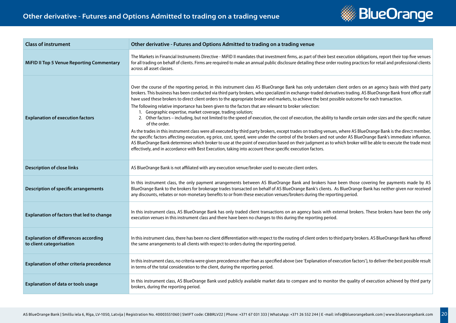

| <b>Class of instrument</b>                                              | Other derivative - Futures and Options Admitted to trading on a trading venue                                                                                                                                                                                                                                                                                                                                                                                                                                                                                                                                                                                                                                                                                                                                                                                                                                                                                                                                                                                                                                                                                                                                                                                                                                                                                                                                                                                          |
|-------------------------------------------------------------------------|------------------------------------------------------------------------------------------------------------------------------------------------------------------------------------------------------------------------------------------------------------------------------------------------------------------------------------------------------------------------------------------------------------------------------------------------------------------------------------------------------------------------------------------------------------------------------------------------------------------------------------------------------------------------------------------------------------------------------------------------------------------------------------------------------------------------------------------------------------------------------------------------------------------------------------------------------------------------------------------------------------------------------------------------------------------------------------------------------------------------------------------------------------------------------------------------------------------------------------------------------------------------------------------------------------------------------------------------------------------------------------------------------------------------------------------------------------------------|
| <b>MiFID II Top 5 Venue Reporting Commentary</b>                        | The Markets in Financial Instruments Directive - MiFID II mandates that investment firms, as part of their best execution obligations, report their top five venues<br>for all trading on behalf of clients. Firms are required to make an annual public disclosure detailing these order routing practices for retail and professional clients<br>across all asset classes.                                                                                                                                                                                                                                                                                                                                                                                                                                                                                                                                                                                                                                                                                                                                                                                                                                                                                                                                                                                                                                                                                           |
| <b>Explanation of execution factors</b>                                 | Over the course of the reporting period, in this instrument class AS BlueOrange Bank has only undertaken client orders on an agency basis with third party<br>brokers. This business has been conducted via third party brokers, who specialized in exchange-traded derivatives trading. AS BlueOrange Bank front office staff<br>have used these brokers to direct client orders to the appropriate broker and markets, to achieve the best possible outcome for each transaction.<br>The following relative importance has been given to the factors that are relevant to broker selection:<br>1. Geographic expertise, market coverage, trading solution;<br>2. Other factors - including, but not limited to the speed of execution, the cost of execution, the ability to handle certain order sizes and the specific nature<br>of the order.<br>As the trades in this instrument class were all executed by third party brokers, except trades on trading venues, where AS BlueOrange Bank is the direct member,<br>the specific factors affecting execution, eg price, cost, speed, were under the control of the brokers and not under AS BlueOrange Bank's immediate influence.<br>AS BlueOrange Bank determines which broker to use at the point of execution based on their judgment as to which broker will be able to execute the trade most<br>effectively, and in accordance with Best Execution, taking into account these specific execution factors. |
| <b>Description of close links</b>                                       | AS BlueOrange Bank is not affiliated with any execution venue/broker used to execute client orders.                                                                                                                                                                                                                                                                                                                                                                                                                                                                                                                                                                                                                                                                                                                                                                                                                                                                                                                                                                                                                                                                                                                                                                                                                                                                                                                                                                    |
| <b>Description of specific arrangements</b>                             | In this instrument class, the only payment arrangements between AS BlueOrange Bank and brokers have been those covering fee payments made by AS<br>BlueOrange Bank to the brokers for brokerage trades transacted on behalf of AS BlueOrange Bank's clients. As BlueOrange Bank has neither given nor received<br>any discounts, rebates or non-monetary benefits to or from these execution venues/brokers during the reporting period.                                                                                                                                                                                                                                                                                                                                                                                                                                                                                                                                                                                                                                                                                                                                                                                                                                                                                                                                                                                                                               |
| <b>Explanation of factors that led to change</b>                        | In this instrument class, AS BlueOrange Bank has only traded client transactions on an agency basis with external brokers. These brokers have been the only<br>execution venues in this instrument class and there have been no changes to this during the reporting period.                                                                                                                                                                                                                                                                                                                                                                                                                                                                                                                                                                                                                                                                                                                                                                                                                                                                                                                                                                                                                                                                                                                                                                                           |
| <b>Explanation of differences according</b><br>to client categorisation | In this instrument class, there has been no client differentiation with respect to the routing of client orders to third party brokers. AS BlueOrange Bank has offered<br>the same arrangements to all clients with respect to orders during the reporting period.                                                                                                                                                                                                                                                                                                                                                                                                                                                                                                                                                                                                                                                                                                                                                                                                                                                                                                                                                                                                                                                                                                                                                                                                     |
| Explanation of other criteria precedence                                | In this instrument class, no criteria were given precedence other than as specified above (see 'Explanation of execution factors'), to deliver the best possible result<br>in terms of the total consideration to the client, during the reporting period.                                                                                                                                                                                                                                                                                                                                                                                                                                                                                                                                                                                                                                                                                                                                                                                                                                                                                                                                                                                                                                                                                                                                                                                                             |
| <b>Explanation of data or tools usage</b>                               | In this instrument class, AS BlueOrange Bank used publicly available market data to compare and to monitor the quality of execution achieved by third party<br>brokers, during the reporting period.                                                                                                                                                                                                                                                                                                                                                                                                                                                                                                                                                                                                                                                                                                                                                                                                                                                                                                                                                                                                                                                                                                                                                                                                                                                                   |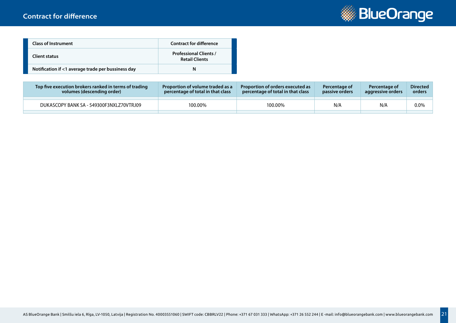

| <b>Class of Instrument</b>                         | <b>Contract for difference</b>                         |
|----------------------------------------------------|--------------------------------------------------------|
| <b>Client status</b>                               | <b>Professional Clients /</b><br><b>Retail Clients</b> |
| Notification if <1 average trade per bussiness day | N                                                      |

| Top five execution brokers ranked in terms of trading | <b>Proportion of volume traded as a</b> | <b>Proportion of orders executed as</b> | Percentage of         | Percentage of     | <b>Directed</b> |
|-------------------------------------------------------|-----------------------------------------|-----------------------------------------|-----------------------|-------------------|-----------------|
| volumes (descending order)                            | percentage of total in that class       | percentage of total in that class       | <b>passive orders</b> | aggressive orders | orders          |
| DUKASCOPY BANK SA - 549300F3NXLZ70VTRJ09              | 100.00%                                 | 100.00%                                 | N/A                   | N/A               | 0.0%            |